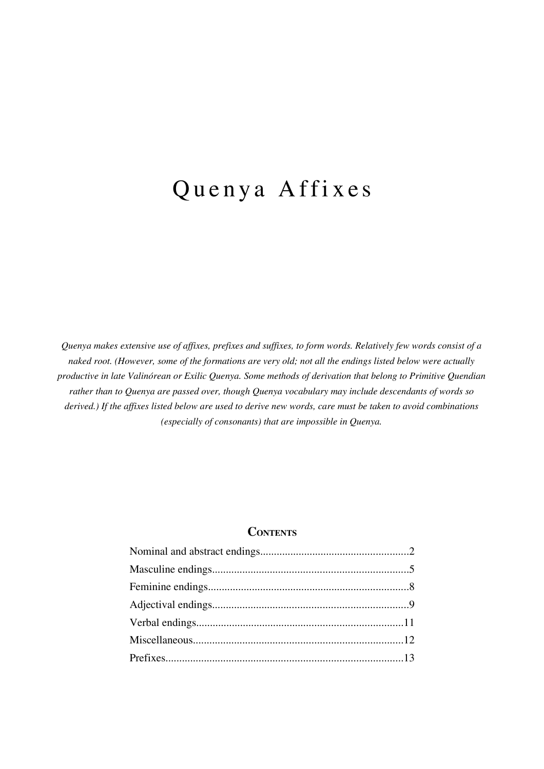# Quenya Affixes

*Quenya makes extensive use of affixes, prefixes and suffixes, to form words. Relatively few words consist of a naked root. (However, some of the formations are very old; not all the endings listed below were actually productive in late Valinórean or Exilic Quenya. Some methods of derivation that belong to Primitive Quendian rather than to Quenya are passed over, though Quenya vocabulary may include descendants of words so derived.) If the affixes listed below are used to derive new words, care must be taken to avoid combinations (especially of consonants) that are impossible in Quenya.*

## **CONTENTS**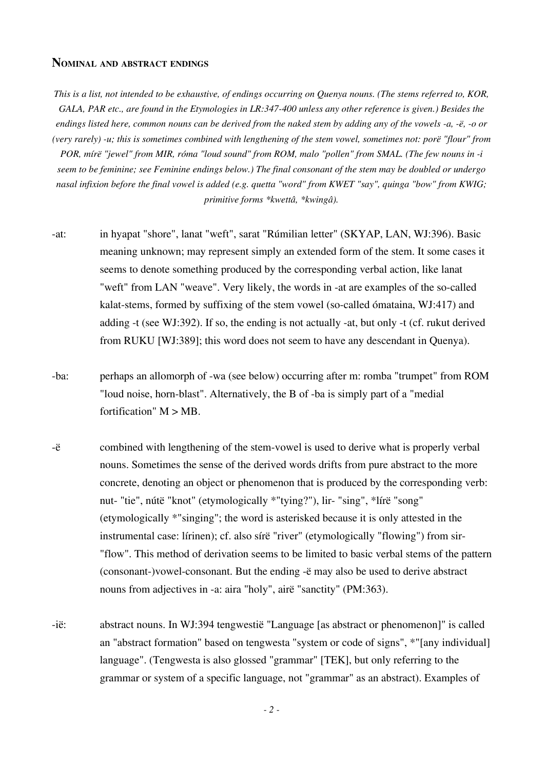### **NOMINAL AND ABSTRACT ENDINGS**

*This is a list, not intended to be exhaustive, of endings occurring on Quenya nouns. (The stems referred to, KOR, GALA, PAR etc., are found in the Etymologies in LR:347-400 unless any other reference is given.) Besides the endings listed here, common nouns can be derived from the naked stem by adding any of the vowels -a, -ë, -o or (very rarely) -u; this is sometimes combined with lengthening of the stem vowel, sometimes not: porë "flour" from POR, mírë "jewel" from MIR, róma "loud sound" from ROM, malo "pollen" from SMAL. (The few nouns in -i seem to be feminine; see Feminine endings below.) The final consonant of the stem may be doubled or undergo nasal infixion before the final vowel is added (e.g. quetta "word" from KWET "say", quinga "bow" from KWIG; primitive forms \*kwettâ, \*kwingâ).*

- -at: in hyapat "shore", lanat "weft", sarat "Rúmilian letter" (SKYAP, LAN, WJ:396). Basic meaning unknown; may represent simply an extended form of the stem. It some cases it seems to denote something produced by the corresponding verbal action, like lanat "weft" from LAN "weave". Very likely, the words in -at are examples of the so-called kalat-stems, formed by suffixing of the stem vowel (so-called ómataina, WJ:417) and adding -t (see WJ:392). If so, the ending is not actually -at, but only -t (cf. rukut derived from RUKU [WJ:389]; this word does not seem to have any descendant in Quenya).
- -ba: perhaps an allomorph of -wa (see below) occurring after m: romba "trumpet" from ROM "loud noise, horn-blast". Alternatively, the B of -ba is simply part of a "medial fortification"  $M > MB$ .
- -ë combined with lengthening of the stem-vowel is used to derive what is properly verbal nouns. Sometimes the sense of the derived words drifts from pure abstract to the more concrete, denoting an object or phenomenon that is produced by the corresponding verb: nut- "tie", nútë "knot" (etymologically \*"tying?"), lir- "sing", \*lírë "song" (etymologically \*"singing"; the word is asterisked because it is only attested in the instrumental case: lírinen); cf. also sírë "river" (etymologically "flowing") from sir- "flow". This method of derivation seems to be limited to basic verbal stems of the pattern (consonant-)vowel-consonant. But the ending -ë may also be used to derive abstract nouns from adjectives in -a: aira "holy", airë "sanctity" (PM:363).
- -ië: abstract nouns. In WJ:394 tengwestië "Language [as abstract or phenomenon]" is called an "abstract formation" based on tengwesta "system or code of signs", \*"[any individual] language". (Tengwesta is also glossed "grammar" [TEK], but only referring to the grammar or system of a specific language, not "grammar" as an abstract). Examples of

*- 2 -*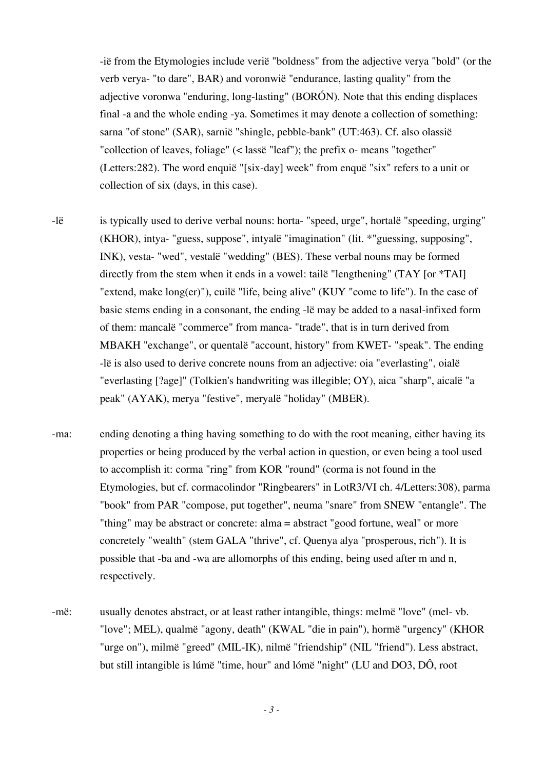-ië from the Etymologies include verië "boldness" from the adjective verya "bold" (or the verb verya- "to dare", BAR) and voronwië "endurance, lasting quality" from the adjective voronwa "enduring, long-lasting" (BORÓN). Note that this ending displaces final -a and the whole ending -ya. Sometimes it may denote a collection of something: sarna "of stone" (SAR), sarnië "shingle, pebble-bank" (UT:463). Cf. also olassië "collection of leaves, foliage" (< lassë "leaf"); the prefix o- means "together" (Letters:282). The word enquië "[six-day] week" from enquë "six" refers to a unit or collection of six (days, in this case).

-lë is typically used to derive verbal nouns: horta- "speed, urge", hortalë "speeding, urging" (KHOR), intya- "guess, suppose", intyalë "imagination" (lit. \*"guessing, supposing", INK), vesta- "wed", vestalë "wedding" (BES). These verbal nouns may be formed directly from the stem when it ends in a vowel: tailë "lengthening" (TAY [or \*TAI] "extend, make long(er)"), cuilë "life, being alive" (KUY "come to life"). In the case of basic stems ending in a consonant, the ending -lë may be added to a nasal-infixed form of them: mancalë "commerce" from manca- "trade", that is in turn derived from MBAKH "exchange", or quentalë "account, history" from KWET- "speak". The ending -lë is also used to derive concrete nouns from an adjective: oia "everlasting", oialë "everlasting [?age]" (Tolkien's handwriting was illegible; OY), aica "sharp", aicalë "a peak" (AYAK), merya "festive", meryalë "holiday" (MBER).

- -ma: ending denoting a thing having something to do with the root meaning, either having its properties or being produced by the verbal action in question, or even being a tool used to accomplish it: corma "ring" from KOR "round" (corma is not found in the Etymologies, but cf. cormacolindor "Ringbearers" in LotR3/VI ch. 4/Letters:308), parma "book" from PAR "compose, put together", neuma "snare" from SNEW "entangle". The "thing" may be abstract or concrete: alma = abstract "good fortune, weal" or more concretely "wealth" (stem GALA "thrive", cf. Quenya alya "prosperous, rich"). It is possible that -ba and -wa are allomorphs of this ending, being used after m and n, respectively.
- -më: usually denotes abstract, or at least rather intangible, things: melmë "love" (mel- vb. "love"; MEL), qualmë "agony, death" (KWAL "die in pain"), hormë "urgency" (KHOR "urge on"), milmë "greed" (MIL-IK), nilmë "friendship" (NIL "friend"). Less abstract, but still intangible is lúmë "time, hour" and lómë "night" (LU and DO3, DÔ, root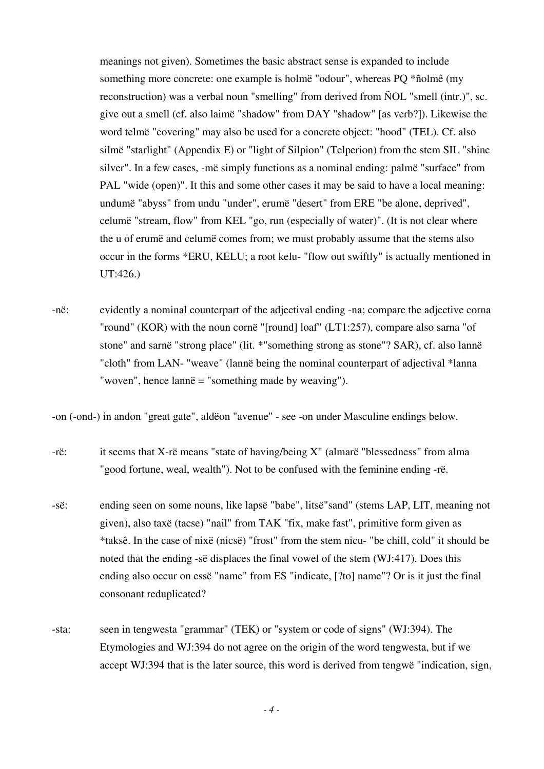meanings not given). Sometimes the basic abstract sense is expanded to include something more concrete: one example is holmë "odour", whereas PQ \*ñolmê (my reconstruction) was a verbal noun "smelling" from derived from ÑOL "smell (intr.)", sc. give out a smell (cf. also laimë "shadow" from DAY "shadow" [as verb?]). Likewise the word telmë "covering" may also be used for a concrete object: "hood" (TEL). Cf. also silmë "starlight" (Appendix E) or "light of Silpion" (Telperion) from the stem SIL "shine silver". In a few cases, -më simply functions as a nominal ending: palmë "surface" from PAL "wide (open)". It this and some other cases it may be said to have a local meaning: undumë "abyss" from undu "under", erumë "desert" from ERE "be alone, deprived", celumë "stream, flow" from KEL "go, run (especially of water)". (It is not clear where the u of erumë and celumë comes from; we must probably assume that the stems also occur in the forms \*ERU, KELU; a root kelu- "flow out swiftly" is actually mentioned in UT:426.)

-në: evidently a nominal counterpart of the adjectival ending -na; compare the adjective corna "round" (KOR) with the noun cornë "[round] loaf" (LT1:257), compare also sarna "of stone" and sarnë "strong place" (lit. \*"something strong as stone"? SAR), cf. also lannë "cloth" from LAN- "weave" (lannë being the nominal counterpart of adjectival \*lanna "woven", hence lannë = "something made by weaving").

-on (-ond-) in andon "great gate", aldëon "avenue" - see -on under Masculine endings below.

- -rë: it seems that X-rë means "state of having/being X" (almarë "blessedness" from alma "good fortune, weal, wealth"). Not to be confused with the feminine ending -rë.
- -së: ending seen on some nouns, like lapsë "babe", litsë"sand" (stems LAP, LIT, meaning not given), also taxë (tacse) "nail" from TAK "fix, make fast", primitive form given as \*taksê. In the case of nixë (nicsë) "frost" from the stem nicu- "be chill, cold" it should be noted that the ending -së displaces the final vowel of the stem (WJ:417). Does this ending also occur on essë "name" from ES "indicate, [?to] name"? Or is it just the final consonant reduplicated?
- -sta: seen in tengwesta "grammar" (TEK) or "system or code of signs" (WJ:394). The Etymologies and WJ:394 do not agree on the origin of the word tengwesta, but if we accept WJ:394 that is the later source, this word is derived from tengwë "indication, sign,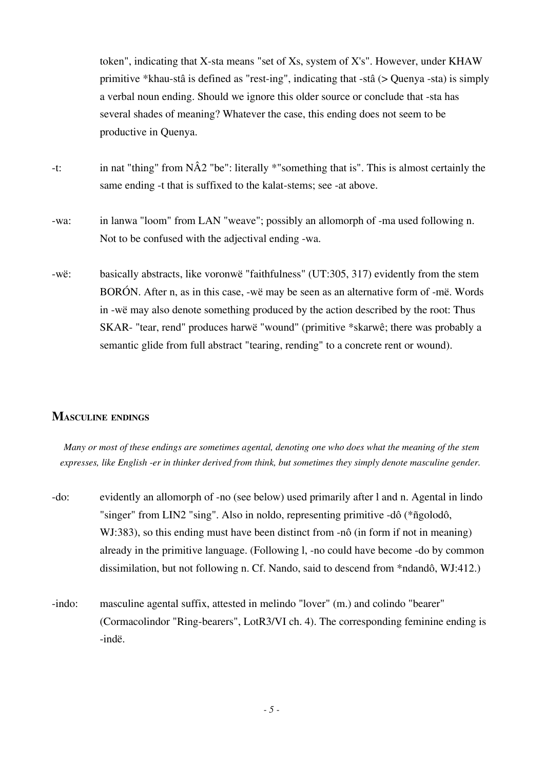token", indicating that X-sta means "set of Xs, system of X's". However, under KHAW primitive \*khau-stâ is defined as "rest-ing", indicating that -stâ (> Quenya -sta) is simply a verbal noun ending. Should we ignore this older source or conclude that -sta has several shades of meaning? Whatever the case, this ending does not seem to be productive in Quenya.

- -t: in nat "thing" from NÂ2 "be": literally \*"something that is". This is almost certainly the same ending -t that is suffixed to the kalat-stems; see -at above.
- -wa: in lanwa "loom" from LAN "weave"; possibly an allomorph of -ma used following n. Not to be confused with the adjectival ending -wa.
- -wë: basically abstracts, like voronwë "faithfulness" (UT:305, 317) evidently from the stem BORÓN. After n, as in this case, -wë may be seen as an alternative form of -më. Words in -wë may also denote something produced by the action described by the root: Thus SKAR- "tear, rend" produces harwë "wound" (primitive \*skarwê; there was probably a semantic glide from full abstract "tearing, rending" to a concrete rent or wound).

# **MASCULINE ENDINGS**

*Many or most of these endings are sometimes agental, denoting one who does what the meaning of the stem expresses, like English -er in thinker derived from think, but sometimes they simply denote masculine gender.* 

- -do: evidently an allomorph of -no (see below) used primarily after l and n. Agental in lindo "singer" from LIN2 "sing". Also in noldo, representing primitive -dô (\*ñgolodô, WJ:383), so this ending must have been distinct from -nô (in form if not in meaning) already in the primitive language. (Following l, -no could have become -do by common dissimilation, but not following n. Cf. Nando, said to descend from \*ndandô, WJ:412.)
- -indo: masculine agental suffix, attested in melindo "lover" (m.) and colindo "bearer" (Cormacolindor "Ring-bearers", LotR3/VI ch. 4). The corresponding feminine ending is -indë.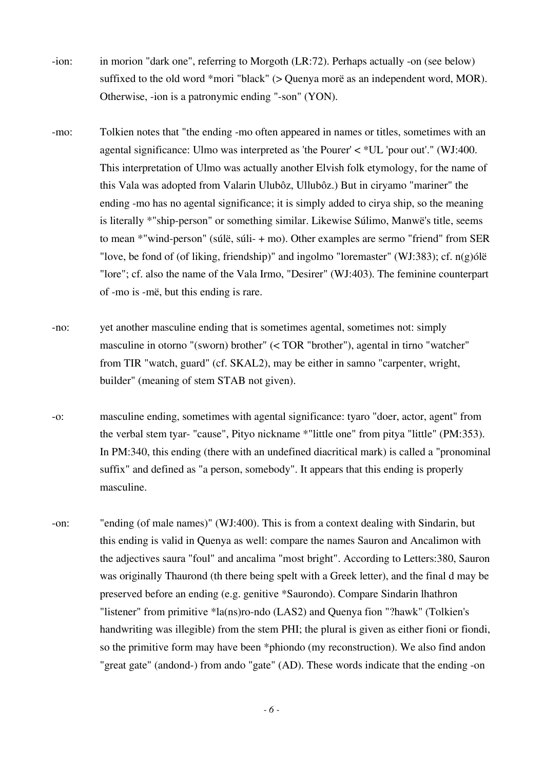- -ion: in morion "dark one", referring to Morgoth (LR:72). Perhaps actually -on (see below) suffixed to the old word \*mori "black" (> Quenya morë as an independent word, MOR). Otherwise, -ion is a patronymic ending "-son" (YON).
- -mo: Tolkien notes that "the ending -mo often appeared in names or titles, sometimes with an agental significance: Ulmo was interpreted as 'the Pourer' < \*UL 'pour out'." (WJ:400. This interpretation of Ulmo was actually another Elvish folk etymology, for the name of this Vala was adopted from Valarin Ulubôz, Ullubôz.) But in ciryamo "mariner" the ending -mo has no agental significance; it is simply added to cirya ship, so the meaning is literally \*"ship-person" or something similar. Likewise Súlimo, Manwë's title, seems to mean \*"wind-person" (súlë, súli- + mo). Other examples are sermo "friend" from SER "love, be fond of (of liking, friendship)" and ingolmo "loremaster" (WJ:383); cf. n(g)ólë "lore"; cf. also the name of the Vala Irmo, "Desirer" (WJ:403). The feminine counterpart of -mo is -më, but this ending is rare.
- -no: yet another masculine ending that is sometimes agental, sometimes not: simply masculine in otorno "(sworn) brother" (< TOR "brother"), agental in tirno "watcher" from TIR "watch, guard" (cf. SKAL2), may be either in samno "carpenter, wright, builder" (meaning of stem STAB not given).
- -o: masculine ending, sometimes with agental significance: tyaro "doer, actor, agent" from the verbal stem tyar- "cause", Pityo nickname \*"little one" from pitya "little" (PM:353). In PM:340, this ending (there with an undefined diacritical mark) is called a "pronominal suffix" and defined as "a person, somebody". It appears that this ending is properly masculine.
- -on: "ending (of male names)" (WJ:400). This is from a context dealing with Sindarin, but this ending is valid in Quenya as well: compare the names Sauron and Ancalimon with the adjectives saura "foul" and ancalima "most bright". According to Letters:380, Sauron was originally Thaurond (th there being spelt with a Greek letter), and the final d may be preserved before an ending (e.g. genitive \*Saurondo). Compare Sindarin lhathron "listener" from primitive \*la(ns)ro-ndo (LAS2) and Quenya fion "?hawk" (Tolkien's handwriting was illegible) from the stem PHI; the plural is given as either fioni or fiondi, so the primitive form may have been \*phiondo (my reconstruction). We also find andon "great gate" (andond-) from ando "gate" (AD). These words indicate that the ending -on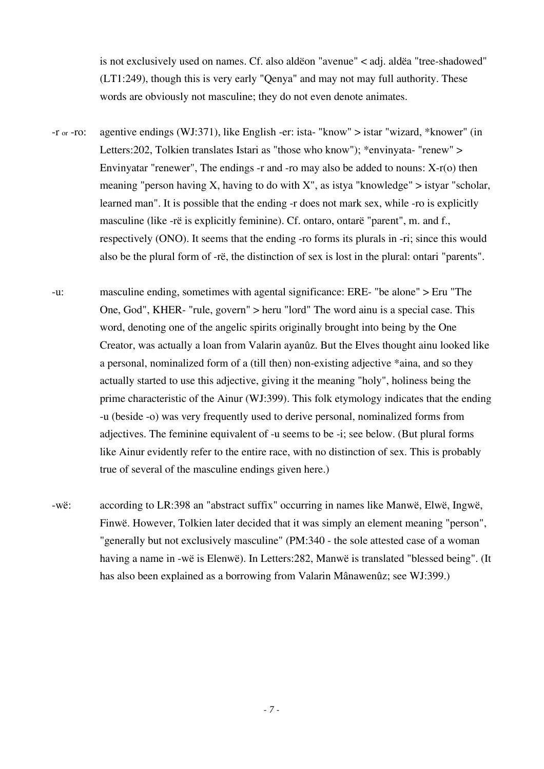is not exclusively used on names. Cf. also aldëon "avenue" < adj. aldëa "tree-shadowed" (LT1:249), though this is very early "Qenya" and may not may full authority. These words are obviously not masculine; they do not even denote animates.

- -r or -ro: agentive endings (WJ:371), like English -er: ista- "know" > istar "wizard, \*knower" (in Letters:202, Tolkien translates Istari as "those who know"); \*envinyata- "renew" > Envinyatar "renewer", The endings  $-$ r and  $-$ ro may also be added to nouns:  $X-r(0)$  then meaning "person having X, having to do with X", as istya "knowledge"  $>$  istyar "scholar, learned man". It is possible that the ending -r does not mark sex, while -ro is explicitly masculine (like -rë is explicitly feminine). Cf. ontaro, ontarë "parent", m. and f., respectively (ONO). It seems that the ending -ro forms its plurals in -ri; since this would also be the plural form of -rë, the distinction of sex is lost in the plural: ontari "parents".
- -u: masculine ending, sometimes with agental significance: ERE- "be alone" > Eru "The One, God", KHER- "rule, govern" > heru "lord" The word ainu is a special case. This word, denoting one of the angelic spirits originally brought into being by the One Creator, was actually a loan from Valarin ayanûz. But the Elves thought ainu looked like a personal, nominalized form of a (till then) non-existing adjective \*aina, and so they actually started to use this adjective, giving it the meaning "holy", holiness being the prime characteristic of the Ainur (WJ:399). This folk etymology indicates that the ending -u (beside -o) was very frequently used to derive personal, nominalized forms from adjectives. The feminine equivalent of -u seems to be -i; see below. (But plural forms like Ainur evidently refer to the entire race, with no distinction of sex. This is probably true of several of the masculine endings given here.)
- -wë: according to LR:398 an "abstract suffix" occurring in names like Manwë, Elwë, Ingwë, Finwë. However, Tolkien later decided that it was simply an element meaning "person", "generally but not exclusively masculine" (PM:340 - the sole attested case of a woman having a name in -wë is Elenwë). In Letters:282, Manwë is translated "blessed being". (It has also been explained as a borrowing from Valarin Mânawenûz; see WJ:399.)

*- 7 -*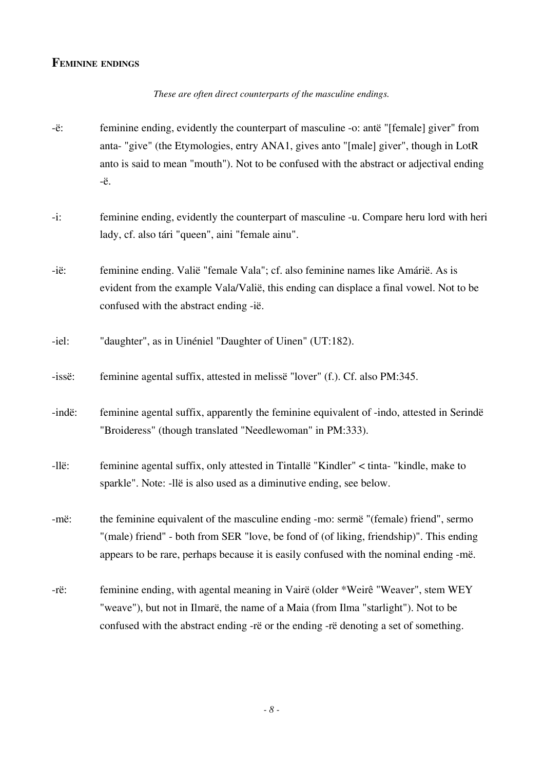## **FEMININE ENDINGS**

#### *These are often direct counterparts of the masculine endings.*

- -ë: feminine ending, evidently the counterpart of masculine -o: antë "[female] giver" from anta- "give" (the Etymologies, entry ANA1, gives anto "[male] giver", though in LotR anto is said to mean "mouth"). Not to be confused with the abstract or adjectival ending -ë.
- -i: feminine ending, evidently the counterpart of masculine -u. Compare heru lord with heri lady, cf. also tári "queen", aini "female ainu".
- -ië: feminine ending. Valië "female Vala"; cf. also feminine names like Amárië. As is evident from the example Vala/Valië, this ending can displace a final vowel. Not to be confused with the abstract ending -ië.
- -iel: "daughter", as in Uinéniel "Daughter of Uinen" (UT:182).
- -issë: feminine agental suffix, attested in melissë "lover" (f.). Cf. also PM:345.
- -indë: feminine agental suffix, apparently the feminine equivalent of -indo, attested in Serindë "Broideress" (though translated "Needlewoman" in PM:333).
- -llë: feminine agental suffix, only attested in Tintallë "Kindler" < tinta- "kindle, make to sparkle". Note: -llë is also used as a diminutive ending, see below.

-më: the feminine equivalent of the masculine ending -mo: sermë "(female) friend", sermo "(male) friend" - both from SER "love, be fond of (of liking, friendship)". This ending appears to be rare, perhaps because it is easily confused with the nominal ending -më.

-rë: feminine ending, with agental meaning in Vairë (older \*Weirê "Weaver", stem WEY "weave"), but not in Ilmarë, the name of a Maia (from Ilma "starlight"). Not to be confused with the abstract ending -rë or the ending -rë denoting a set of something.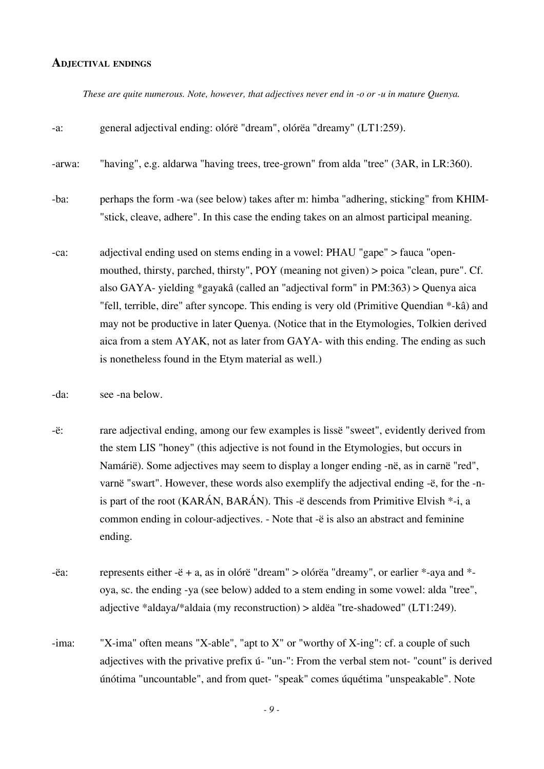#### **ADJECTIVAL ENDINGS**

*These are quite numerous. Note, however, that adjectives never end in -o or -u in mature Quenya.*

| $-a$ : | general adjectival ending: olórë "dream", olórëa "dreamy" (LT1:259).                                                                                                                                                                                                                                                                                                                                                                                                                                                                                                                                  |
|--------|-------------------------------------------------------------------------------------------------------------------------------------------------------------------------------------------------------------------------------------------------------------------------------------------------------------------------------------------------------------------------------------------------------------------------------------------------------------------------------------------------------------------------------------------------------------------------------------------------------|
| -arwa: | "having", e.g. aldarwa "having trees, tree-grown" from alda "tree" (3AR, in LR:360).                                                                                                                                                                                                                                                                                                                                                                                                                                                                                                                  |
| -ba:   | perhaps the form -wa (see below) takes after m: himba "adhering, sticking" from KHIM-<br>"stick, cleave, adhere". In this case the ending takes on an almost participal meaning.                                                                                                                                                                                                                                                                                                                                                                                                                      |
| -ca:   | adjectival ending used on stems ending in a vowel: PHAU "gape" > fauca "open-<br>mouthed, thirsty, parched, thirsty", POY (meaning not given) > poica "clean, pure". Cf.<br>also GAYA- yielding *gayakâ (called an "adjectival form" in PM:363) > Quenya aica<br>"fell, terrible, dire" after syncope. This ending is very old (Primitive Quendian *-kâ) and<br>may not be productive in later Quenya. (Notice that in the Etymologies, Tolkien derived<br>aica from a stem AYAK, not as later from GAYA- with this ending. The ending as such<br>is nonetheless found in the Etym material as well.) |

- -da: see -na below.
- -ë: rare adjectival ending, among our few examples is lissë "sweet", evidently derived from the stem LIS "honey" (this adjective is not found in the Etymologies, but occurs in Namárië). Some adjectives may seem to display a longer ending -në, as in carnë "red", varnë "swart". However, these words also exemplify the adjectival ending -ë, for the -nis part of the root (KARÁN, BARÁN). This -ë descends from Primitive Elvish \*-i, a common ending in colour-adjectives. - Note that -ë is also an abstract and feminine ending.
- $-e$ a: represents either  $-e$  + a, as in olórë "dream" > olórëa "dreamy", or earlier \*-aya and \*oya, sc. the ending -ya (see below) added to a stem ending in some vowel: alda "tree", adjective \*aldaya/\*aldaia (my reconstruction) > aldëa "tre-shadowed" (LT1:249).
- -ima: "X-ima" often means "X-able", "apt to X" or "worthy of X-ing": cf. a couple of such adjectives with the privative prefix ú- "un-": From the verbal stem not- "count" is derived únótima "uncountable", and from quet- "speak" comes úquétima "unspeakable". Note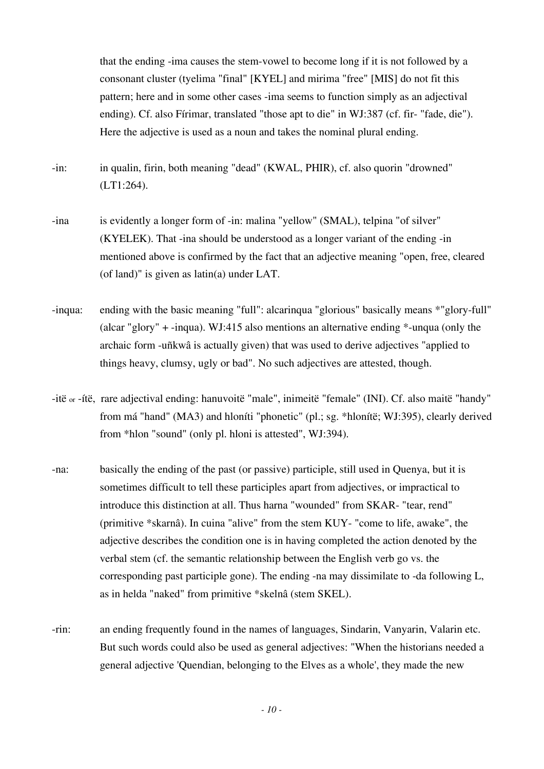that the ending -ima causes the stem-vowel to become long if it is not followed by a consonant cluster (tyelima "final" [KYEL] and mirima "free" [MIS] do not fit this pattern; here and in some other cases -ima seems to function simply as an adjectival ending). Cf. also Fírimar, translated "those apt to die" in WJ:387 (cf. fir- "fade, die"). Here the adjective is used as a noun and takes the nominal plural ending.

-in: in qualin, firin, both meaning "dead" (KWAL, PHIR), cf. also quorin "drowned" (LT1:264).

- -ina is evidently a longer form of -in: malina "yellow" (SMAL), telpina "of silver" (KYELEK). That -ina should be understood as a longer variant of the ending -in mentioned above is confirmed by the fact that an adjective meaning "open, free, cleared (of land)" is given as latin(a) under LAT.
- -inqua: ending with the basic meaning "full": alcarinqua "glorious" basically means \*"glory-full" (alcar "glory" + -inqua). WJ:415 also mentions an alternative ending \*-unqua (only the archaic form -uñkwâ is actually given) that was used to derive adjectives "applied to things heavy, clumsy, ugly or bad". No such adjectives are attested, though.
- -itë or -ítë, rare adjectival ending: hanuvoitë "male", inimeitë "female" (INI). Cf. also maitë "handy" from má "hand" (MA3) and hloníti "phonetic" (pl.; sg. \*hlonítë; WJ:395), clearly derived from \*hlon "sound" (only pl. hloni is attested", WJ:394).
- -na: basically the ending of the past (or passive) participle, still used in Quenya, but it is sometimes difficult to tell these participles apart from adjectives, or impractical to introduce this distinction at all. Thus harna "wounded" from SKAR- "tear, rend" (primitive \*skarnâ). In cuina "alive" from the stem KUY- "come to life, awake", the adjective describes the condition one is in having completed the action denoted by the verbal stem (cf. the semantic relationship between the English verb go vs. the corresponding past participle gone). The ending -na may dissimilate to -da following L, as in helda "naked" from primitive \*skelnâ (stem SKEL).
- -rin: an ending frequently found in the names of languages, Sindarin, Vanyarin, Valarin etc. But such words could also be used as general adjectives: "When the historians needed a general adjective 'Quendian, belonging to the Elves as a whole', they made the new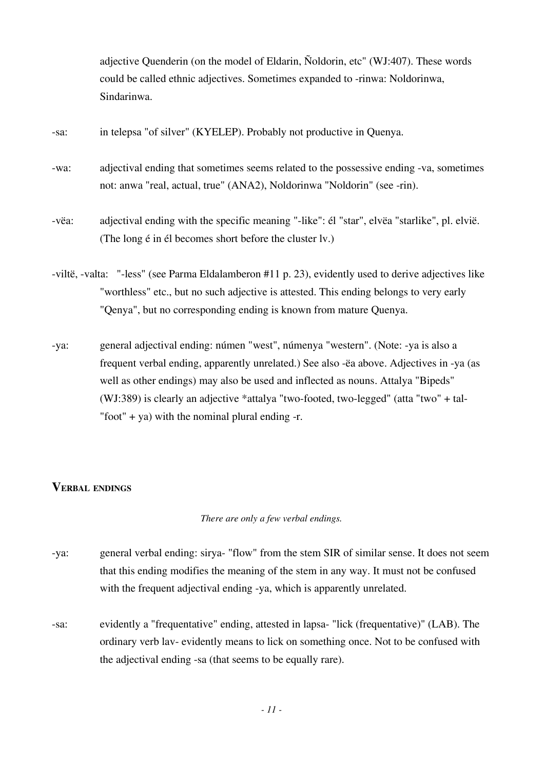adjective Quenderin (on the model of Eldarin, Ñoldorin, etc" (WJ:407). These words could be called ethnic adjectives. Sometimes expanded to -rinwa: Noldorinwa, Sindarinwa.

| in telepsa "of silver" (KYELEP). Probably not productive in Quenya.<br>-sa: |  |
|-----------------------------------------------------------------------------|--|
|-----------------------------------------------------------------------------|--|

-wa: adjectival ending that sometimes seems related to the possessive ending -va, sometimes not: anwa "real, actual, true" (ANA2), Noldorinwa "Noldorin" (see -rin).

-vëa: adjectival ending with the specific meaning "-like": él "star", elvëa "starlike", pl. elvië. (The long é in él becomes short before the cluster lv.)

-viltë, -valta: "-less" (see Parma Eldalamberon #11 p. 23), evidently used to derive adjectives like "worthless" etc., but no such adjective is attested. This ending belongs to very early "Qenya", but no corresponding ending is known from mature Quenya.

-ya: general adjectival ending: númen "west", númenya "western". (Note: -ya is also a frequent verbal ending, apparently unrelated.) See also -ëa above. Adjectives in -ya (as well as other endings) may also be used and inflected as nouns. Attalya "Bipeds" (WJ:389) is clearly an adjective \*attalya "two-footed, two-legged" (atta "two" + tal- "foot" + ya) with the nominal plural ending  $-r$ .

# **VERBAL ENDINGS**

*There are only a few verbal endings.*

-ya: general verbal ending: sirya- "flow" from the stem SIR of similar sense. It does not seem that this ending modifies the meaning of the stem in any way. It must not be confused with the frequent adjectival ending -ya, which is apparently unrelated.

-sa: evidently a "frequentative" ending, attested in lapsa- "lick (frequentative)" (LAB). The ordinary verb lav- evidently means to lick on something once. Not to be confused with the adjectival ending -sa (that seems to be equally rare).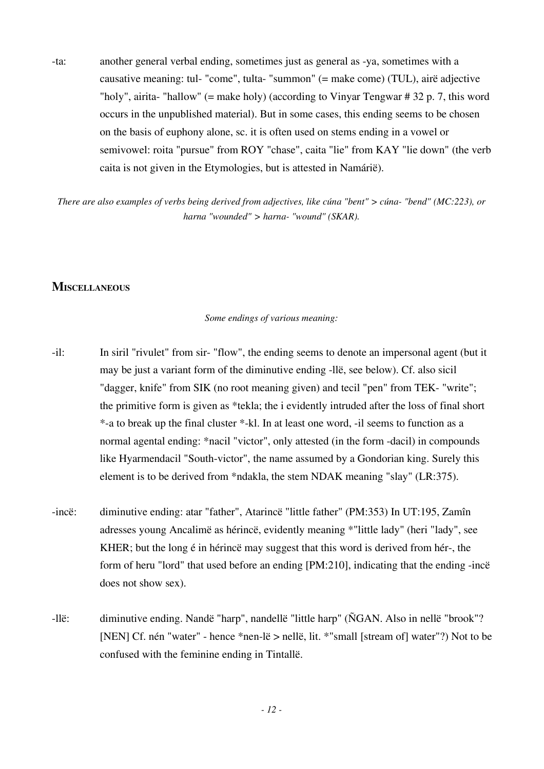-ta: another general verbal ending, sometimes just as general as -ya, sometimes with a causative meaning: tul- "come", tulta- "summon" (= make come) (TUL), airë adjective "holy", airita- "hallow" (= make holy) (according to Vinyar Tengwar # 32 p. 7, this word occurs in the unpublished material). But in some cases, this ending seems to be chosen on the basis of euphony alone, sc. it is often used on stems ending in a vowel or semivowel: roita "pursue" from ROY "chase", caita "lie" from KAY "lie down" (the verb caita is not given in the Etymologies, but is attested in Namárië).

*There are also examples of verbs being derived from adjectives, like cúna "bent" > cúna- "bend" (MC:223), or harna "wounded" > harna- "wound" (SKAR).*

## **MISCELLANEOUS**

#### *Some endings of various meaning:*

- -il: In siril "rivulet" from sir- "flow", the ending seems to denote an impersonal agent (but it may be just a variant form of the diminutive ending -llë, see below). Cf. also sicil "dagger, knife" from SIK (no root meaning given) and tecil "pen" from TEK- "write"; the primitive form is given as \*tekla; the i evidently intruded after the loss of final short \*-a to break up the final cluster \*-kl. In at least one word, -il seems to function as a normal agental ending: \*nacil "victor", only attested (in the form -dacil) in compounds like Hyarmendacil "South-victor", the name assumed by a Gondorian king. Surely this element is to be derived from \*ndakla, the stem NDAK meaning "slay" (LR:375).
- -incë: diminutive ending: atar "father", Atarincë "little father" (PM:353) In UT:195, Zamîn adresses young Ancalimë as hérincë, evidently meaning \*"little lady" (heri "lady", see KHER; but the long é in hérincë may suggest that this word is derived from hér-, the form of heru "lord" that used before an ending [PM:210], indicating that the ending -incë does not show sex).
- -llë: diminutive ending. Nandë "harp", nandellë "little harp" (ÑGAN. Also in nellë "brook"? [NEN] Cf. nén "water" - hence \*nen-lë > nellë, lit. \*"small [stream of] water"?) Not to be confused with the feminine ending in Tintallë.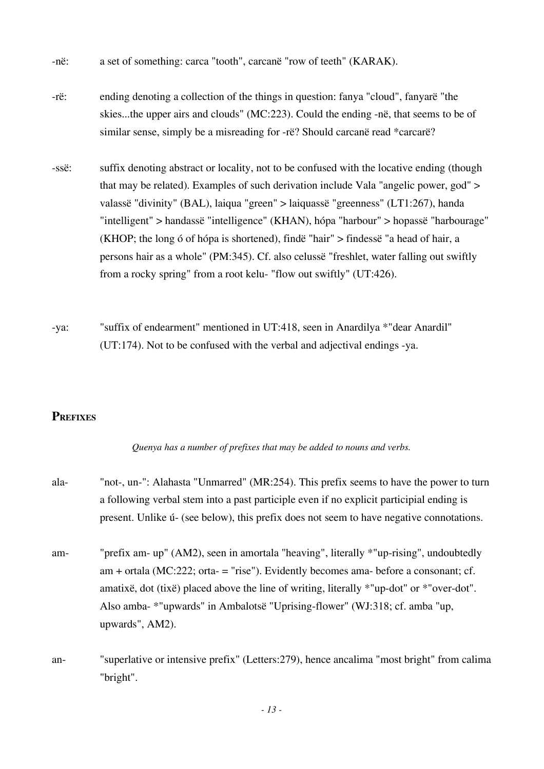- -në: a set of something: carca "tooth", carcanë "row of teeth" (KARAK).
- -rë: ending denoting a collection of the things in question: fanya "cloud", fanyarë "the skies...the upper airs and clouds" (MC:223). Could the ending -në, that seems to be of similar sense, simply be a misreading for -rë? Should carcanë read \*carcarë?
- -ssë: suffix denoting abstract or locality, not to be confused with the locative ending (though that may be related). Examples of such derivation include Vala "angelic power, god" > valassë "divinity" (BAL), laiqua "green" > laiquassë "greenness" (LT1:267), handa "intelligent" > handassë "intelligence" (KHAN), hópa "harbour" > hopassë "harbourage" (KHOP; the long ó of hópa is shortened), findë "hair" > findessë "a head of hair, a persons hair as a whole" (PM:345). Cf. also celussë "freshlet, water falling out swiftly from a rocky spring" from a root kelu- "flow out swiftly" (UT:426).
- -ya: "suffix of endearment" mentioned in UT:418, seen in Anardilya \*"dear Anardil" (UT:174). Not to be confused with the verbal and adjectival endings -ya.

# **PREFIXES**

*Quenya has a number of prefixes that may be added to nouns and verbs.*

- ala- "not-, un-": Alahasta "Unmarred" (MR:254). This prefix seems to have the power to turn a following verbal stem into a past participle even if no explicit participial ending is present. Unlike ú- (see below), this prefix does not seem to have negative connotations.
- am- "prefix am- up" (AM2), seen in amortala "heaving", literally \*"up-rising", undoubtedly am + ortala (MC:222; orta- = "rise"). Evidently becomes ama- before a consonant; cf. amatixë, dot (tixë) placed above the line of writing, literally \*"up-dot" or \*"over-dot". Also amba- \*"upwards" in Ambalotsë "Uprising-flower" (WJ:318; cf. amba "up, upwards", AM2).
- an- "superlative or intensive prefix" (Letters:279), hence ancalima "most bright" from calima "bright".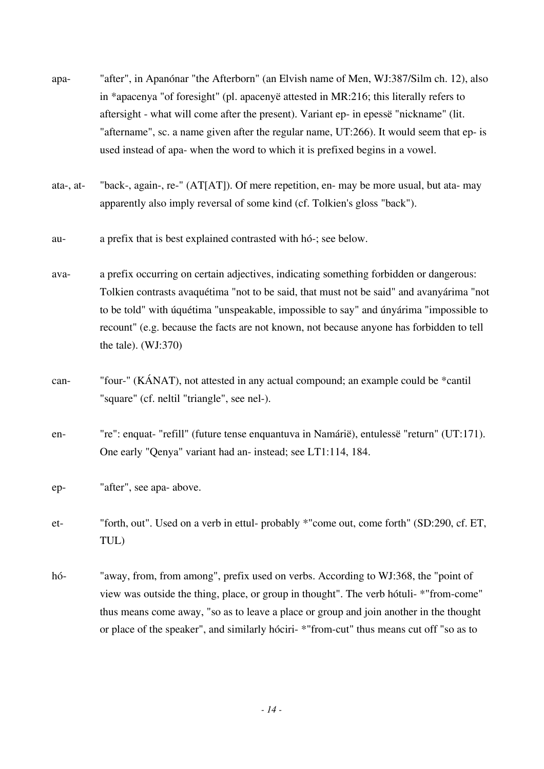- apa- "after", in Apanónar "the Afterborn" (an Elvish name of Men, WJ:387/Silm ch. 12), also in \*apacenya "of foresight" (pl. apacenyë attested in MR:216; this literally refers to aftersight - what will come after the present). Variant ep- in epessë "nickname" (lit. "aftername", sc. a name given after the regular name, UT:266). It would seem that ep- is used instead of apa- when the word to which it is prefixed begins in a vowel.
- ata-, at- "back-, again-, re-" (AT[AT]). Of mere repetition, en- may be more usual, but ata- may apparently also imply reversal of some kind (cf. Tolkien's gloss "back").
- au- a prefix that is best explained contrasted with hó-; see below.
- ava- a prefix occurring on certain adjectives, indicating something forbidden or dangerous: Tolkien contrasts avaquétima "not to be said, that must not be said" and avanyárima "not to be told" with úquétima "unspeakable, impossible to say" and únyárima "impossible to recount" (e.g. because the facts are not known, not because anyone has forbidden to tell the tale). (WJ:370)
- can- "four-" (KÁNAT), not attested in any actual compound; an example could be \*cantil "square" (cf. neltil "triangle", see nel-).
- en- "re": enquat- "refill" (future tense enquantuva in Namárië), entulessë "return" (UT:171). One early "Qenya" variant had an- instead; see LT1:114, 184.
- ep- "after", see apa- above.
- et- "forth, out". Used on a verb in ettul- probably \*"come out, come forth" (SD:290, cf. ET, TUL)
- hó- "away, from, from among", prefix used on verbs. According to WJ:368, the "point of view was outside the thing, place, or group in thought". The verb hótuli- \*"from-come" thus means come away, "so as to leave a place or group and join another in the thought or place of the speaker", and similarly hóciri- \*"from-cut" thus means cut off "so as to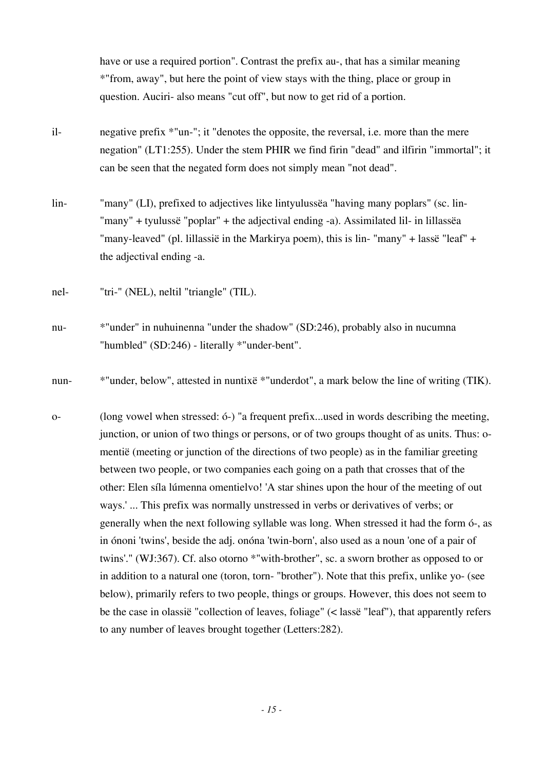have or use a required portion". Contrast the prefix au-, that has a similar meaning \*"from, away", but here the point of view stays with the thing, place or group in question. Auciri- also means "cut off", but now to get rid of a portion.

- il- negative prefix \*"un-"; it "denotes the opposite, the reversal, i.e. more than the mere negation" (LT1:255). Under the stem PHIR we find firin "dead" and ilfirin "immortal"; it can be seen that the negated form does not simply mean "not dead".
- lin- "many" (LI), prefixed to adjectives like lintyulussëa "having many poplars" (sc. lin- "many" + tyulussë "poplar" + the adjectival ending -a). Assimilated lil- in lillassëa "many-leaved" (pl. lillassië in the Markirya poem), this is lin- "many" + lassë "leaf" + the adjectival ending -a.
- nel- "tri-" (NEL), neltil "triangle" (TIL).
- nu- \*"under" in nuhuinenna "under the shadow" (SD:246), probably also in nucumna "humbled" (SD:246) - literally \*"under-bent".
- nun- \*"under, below", attested in nuntixë \*"underdot", a mark below the line of writing (TIK).
- o- (long vowel when stressed: ó-) "a frequent prefix...used in words describing the meeting, junction, or union of two things or persons, or of two groups thought of as units. Thus: omentië (meeting or junction of the directions of two people) as in the familiar greeting between two people, or two companies each going on a path that crosses that of the other: Elen síla lúmenna omentielvo! 'A star shines upon the hour of the meeting of out ways.' ... This prefix was normally unstressed in verbs or derivatives of verbs; or generally when the next following syllable was long. When stressed it had the form ó-, as in ónoni 'twins', beside the adj. onóna 'twin-born', also used as a noun 'one of a pair of twins'." (WJ:367). Cf. also otorno \*"with-brother", sc. a sworn brother as opposed to or in addition to a natural one (toron, torn- "brother"). Note that this prefix, unlike yo- (see below), primarily refers to two people, things or groups. However, this does not seem to be the case in olassië "collection of leaves, foliage" (< lassë "leaf"), that apparently refers to any number of leaves brought together (Letters:282).